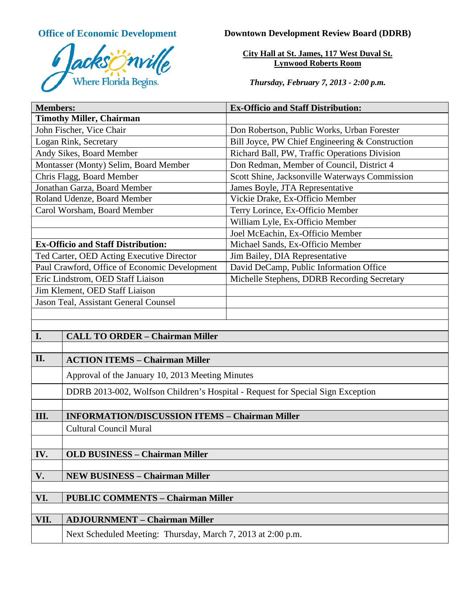

# **Office of Economic Development Downtown Development Review Board (DDRB)**

**City Hall at St. James, 117 West Duval St. Lynwood Roberts Room**

*Thursday, February 7, 2013 - 2:00 p.m.*

| <b>Members:</b>                                 |                                                                                 | <b>Ex-Officio and Staff Distribution:</b>       |
|-------------------------------------------------|---------------------------------------------------------------------------------|-------------------------------------------------|
|                                                 | <b>Timothy Miller, Chairman</b>                                                 |                                                 |
| John Fischer, Vice Chair                        |                                                                                 | Don Robertson, Public Works, Urban Forester     |
| Logan Rink, Secretary                           |                                                                                 | Bill Joyce, PW Chief Engineering & Construction |
| Andy Sikes, Board Member                        |                                                                                 | Richard Ball, PW, Traffic Operations Division   |
| Montasser (Monty) Selim, Board Member           |                                                                                 | Don Redman, Member of Council, District 4       |
| Chris Flagg, Board Member                       |                                                                                 | Scott Shine, Jacksonville Waterways Commission  |
| Jonathan Garza, Board Member                    |                                                                                 | James Boyle, JTA Representative                 |
| Roland Udenze, Board Member                     |                                                                                 | Vickie Drake, Ex-Officio Member                 |
| Carol Worsham, Board Member                     |                                                                                 | Terry Lorince, Ex-Officio Member                |
|                                                 |                                                                                 | William Lyle, Ex-Officio Member                 |
|                                                 |                                                                                 | Joel McEachin, Ex-Officio Member                |
| <b>Ex-Officio and Staff Distribution:</b>       |                                                                                 | Michael Sands, Ex-Officio Member                |
| Ted Carter, OED Acting Executive Director       |                                                                                 | Jim Bailey, DIA Representative                  |
| Paul Crawford, Office of Economic Development   |                                                                                 | David DeCamp, Public Information Office         |
| Eric Lindstrom, OED Staff Liaison               |                                                                                 | Michelle Stephens, DDRB Recording Secretary     |
| Jim Klement, OED Staff Liaison                  |                                                                                 |                                                 |
| Jason Teal, Assistant General Counsel           |                                                                                 |                                                 |
|                                                 |                                                                                 |                                                 |
|                                                 |                                                                                 |                                                 |
| I.                                              | <b>CALL TO ORDER - Chairman Miller</b>                                          |                                                 |
|                                                 |                                                                                 |                                                 |
| II.                                             | <b>ACTION ITEMS - Chairman Miller</b>                                           |                                                 |
|                                                 | Approval of the January 10, 2013 Meeting Minutes                                |                                                 |
|                                                 | DDRB 2013-002, Wolfson Children's Hospital - Request for Special Sign Exception |                                                 |
|                                                 |                                                                                 |                                                 |
| III.                                            | <b>INFORMATION/DISCUSSION ITEMS - Chairman Miller</b>                           |                                                 |
|                                                 | <b>Cultural Council Mural</b>                                                   |                                                 |
|                                                 |                                                                                 |                                                 |
| IV.                                             | <b>OLD BUSINESS - Chairman Miller</b>                                           |                                                 |
|                                                 |                                                                                 |                                                 |
| V.                                              | <b>NEW BUSINESS - Chairman Miller</b>                                           |                                                 |
|                                                 |                                                                                 |                                                 |
| VI.<br><b>PUBLIC COMMENTS - Chairman Miller</b> |                                                                                 |                                                 |
|                                                 |                                                                                 |                                                 |
| VII.                                            | <b>ADJOURNMENT - Chairman Miller</b>                                            |                                                 |
|                                                 | Next Scheduled Meeting: Thursday, March 7, 2013 at 2:00 p.m.                    |                                                 |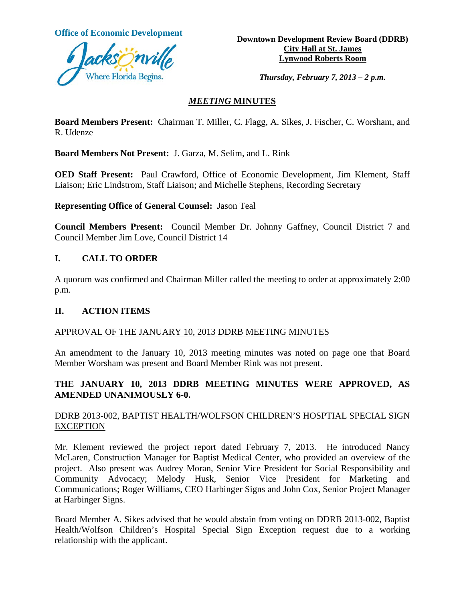

**Office of Economic Development**<br> **Downtown Development Review Board (DDRB) City Hall at St. James Lynwood Roberts Room**

*Thursday, February 7, 2013 – 2 p.m.*

## *MEETING* **MINUTES**

**Board Members Present:** Chairman T. Miller, C. Flagg, A. Sikes, J. Fischer, C. Worsham, and R. Udenze

**Board Members Not Present:** J. Garza, M. Selim, and L. Rink

**OED Staff Present:** Paul Crawford, Office of Economic Development, Jim Klement, Staff Liaison; Eric Lindstrom, Staff Liaison; and Michelle Stephens, Recording Secretary

## **Representing Office of General Counsel:** Jason Teal

**Council Members Present:** Council Member Dr. Johnny Gaffney, Council District 7 and Council Member Jim Love, Council District 14

## **I. CALL TO ORDER**

A quorum was confirmed and Chairman Miller called the meeting to order at approximately 2:00 p.m.

## **II. ACTION ITEMS**

## APPROVAL OF THE JANUARY 10, 2013 DDRB MEETING MINUTES

An amendment to the January 10, 2013 meeting minutes was noted on page one that Board Member Worsham was present and Board Member Rink was not present.

## **THE JANUARY 10, 2013 DDRB MEETING MINUTES WERE APPROVED, AS AMENDED UNANIMOUSLY 6-0.**

## DDRB 2013-002, BAPTIST HEALTH/WOLFSON CHILDREN'S HOSPTIAL SPECIAL SIGN **EXCEPTION**

Mr. Klement reviewed the project report dated February 7, 2013. He introduced Nancy McLaren, Construction Manager for Baptist Medical Center, who provided an overview of the project. Also present was Audrey Moran, Senior Vice President for Social Responsibility and Community Advocacy; Melody Husk, Senior Vice President for Marketing and Communications; Roger Williams, CEO Harbinger Signs and John Cox, Senior Project Manager at Harbinger Signs.

Board Member A. Sikes advised that he would abstain from voting on DDRB 2013-002, Baptist Health/Wolfson Children's Hospital Special Sign Exception request due to a working relationship with the applicant.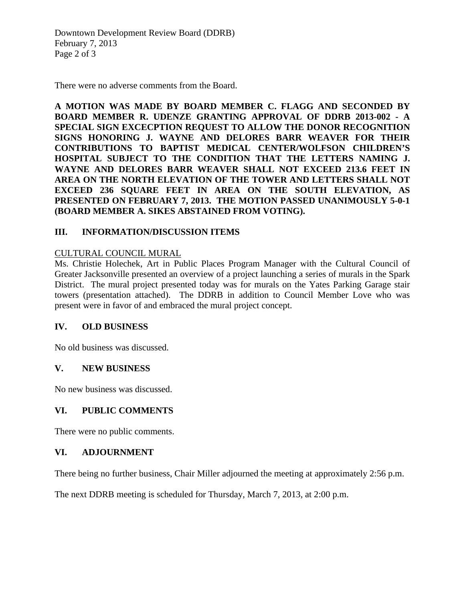Downtown Development Review Board (DDRB) February 7, 2013 Page 2 of 3

There were no adverse comments from the Board.

**A MOTION WAS MADE BY BOARD MEMBER C. FLAGG AND SECONDED BY BOARD MEMBER R. UDENZE GRANTING APPROVAL OF DDRB 2013-002 - A SPECIAL SIGN EXCECPTION REQUEST TO ALLOW THE DONOR RECOGNITION SIGNS HONORING J. WAYNE AND DELORES BARR WEAVER FOR THEIR CONTRIBUTIONS TO BAPTIST MEDICAL CENTER/WOLFSON CHILDREN'S HOSPITAL SUBJECT TO THE CONDITION THAT THE LETTERS NAMING J. WAYNE AND DELORES BARR WEAVER SHALL NOT EXCEED 213.6 FEET IN AREA ON THE NORTH ELEVATION OF THE TOWER AND LETTERS SHALL NOT EXCEED 236 SQUARE FEET IN AREA ON THE SOUTH ELEVATION, AS PRESENTED ON FEBRUARY 7, 2013. THE MOTION PASSED UNANIMOUSLY 5-0-1 (BOARD MEMBER A. SIKES ABSTAINED FROM VOTING).** 

## **III. INFORMATION/DISCUSSION ITEMS**

## CULTURAL COUNCIL MURAL

Ms. Christie Holechek, Art in Public Places Program Manager with the Cultural Council of Greater Jacksonville presented an overview of a project launching a series of murals in the Spark District. The mural project presented today was for murals on the Yates Parking Garage stair towers (presentation attached). The DDRB in addition to Council Member Love who was present were in favor of and embraced the mural project concept.

## **IV. OLD BUSINESS**

No old business was discussed.

## **V. NEW BUSINESS**

No new business was discussed.

## **VI. PUBLIC COMMENTS**

There were no public comments.

#### **VI. ADJOURNMENT**

There being no further business, Chair Miller adjourned the meeting at approximately 2:56 p.m.

The next DDRB meeting is scheduled for Thursday, March 7, 2013, at 2:00 p.m.